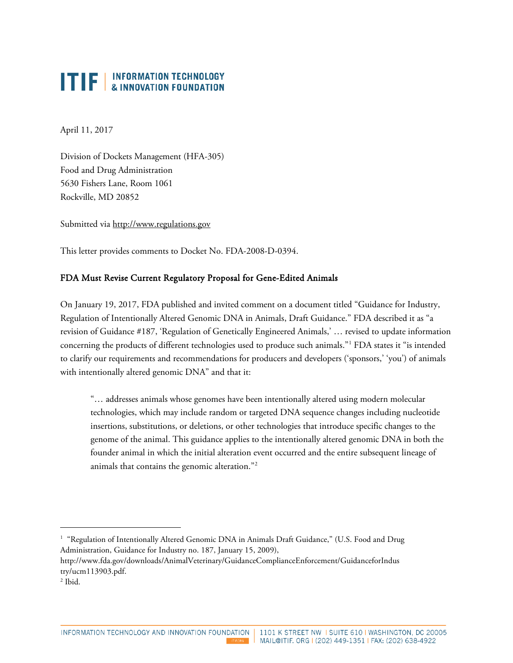April 11, 2017

Division of Dockets Management (HFA-305) Food and Drug Administration 5630 Fishers Lane, Room 1061 Rockville, MD 20852

Submitted via [http://www.regulations.gov](http://www.regulations.gov/)

This letter provides comments to Docket No. FDA-2008-D-0394.

#### FDA Must Revise Current Regulatory Proposal for Gene-Edited Animals

On January 19, 2017, FDA published and invited comment on a document titled "Guidance for Industry, Regulation of Intentionally Altered Genomic DNA in Animals, Draft Guidance." FDA described it as "a revision of Guidance #187, 'Regulation of Genetically Engineered Animals,' … revised to update information concerning the products of different technologies used to produce such animals."[1](#page-0-0) FDA states it "is intended to clarify our requirements and recommendations for producers and developers ('sponsors,' 'you') of animals with intentionally altered genomic DNA" and that it:

"… addresses animals whose genomes have been intentionally altered using modern molecular technologies, which may include random or targeted DNA sequence changes including nucleotide insertions, substitutions, or deletions, or other technologies that introduce specific changes to the genome of the animal. This guidance applies to the intentionally altered genomic DNA in both the founder animal in which the initial alteration event occurred and the entire subsequent lineage of animals that contains the genomic alteration."[2](#page-0-1)

 $\ddot{\phantom{a}}$ 

<span id="page-0-0"></span><sup>&</sup>lt;sup>1</sup> "Regulation of Intentionally Altered Genomic DNA in Animals Draft Guidance," (U.S. Food and Drug Administration, Guidance for Industry no. 187, January 15, 2009),

http://www.fda.gov/downloads/AnimalVeterinary/GuidanceComplianceEnforcement/GuidanceforIndus try/ucm113903.pdf.

<span id="page-0-1"></span><sup>2</sup> Ibid.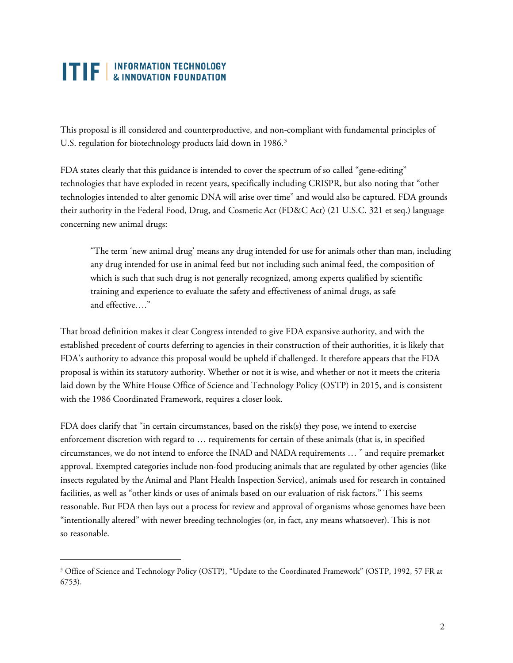$\ddot{\phantom{a}}$ 

This proposal is ill considered and counterproductive, and non-compliant with fundamental principles of U.S. regulation for biotechnology products laid down in 1986.<sup>[3](#page-1-0)</sup>

FDA states clearly that this guidance is intended to cover the spectrum of so called "gene-editing" technologies that have exploded in recent years, specifically including CRISPR, but also noting that "other technologies intended to alter genomic DNA will arise over time" and would also be captured. FDA grounds their authority in the Federal Food, Drug, and Cosmetic Act (FD&C Act) (21 U.S.C. 321 et seq.) language concerning new animal drugs:

"The term 'new animal drug' means any drug intended for use for animals other than man, including any drug intended for use in animal feed but not including such animal feed, the composition of which is such that such drug is not generally recognized, among experts qualified by scientific training and experience to evaluate the safety and effectiveness of animal drugs, as safe and effective…."

That broad definition makes it clear Congress intended to give FDA expansive authority, and with the established precedent of courts deferring to agencies in their construction of their authorities, it is likely that FDA's authority to advance this proposal would be upheld if challenged. It therefore appears that the FDA proposal is within its statutory authority. Whether or not it is wise, and whether or not it meets the criteria laid down by the White House Office of Science and Technology Policy (OSTP) in 2015, and is consistent with the 1986 Coordinated Framework, requires a closer look.

FDA does clarify that "in certain circumstances, based on the risk(s) they pose, we intend to exercise enforcement discretion with regard to … requirements for certain of these animals (that is, in specified circumstances, we do not intend to enforce the INAD and NADA requirements … " and require premarket approval. Exempted categories include non-food producing animals that are regulated by other agencies (like insects regulated by the Animal and Plant Health Inspection Service), animals used for research in contained facilities, as well as "other kinds or uses of animals based on our evaluation of risk factors." This seems reasonable. But FDA then lays out a process for review and approval of organisms whose genomes have been "intentionally altered" with newer breeding technologies (or, in fact, any means whatsoever). This is not so reasonable.

<span id="page-1-0"></span><sup>&</sup>lt;sup>3</sup> Office of Science and Technology Policy (OSTP), "Update to the Coordinated Framework" (OSTP, 1992, 57 FR at 6753).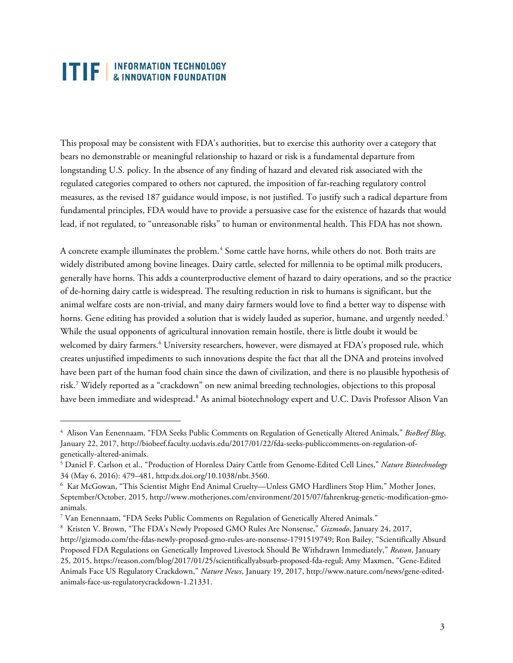$\ddot{\phantom{a}}$ 

This proposal may be consistent with FDA's authorities, but to exercise this authority over a category that bears no demonstrable or meaningful relationship to hazard or risk is a fundamental departure from longstanding U.S. policy. In the absence of any finding of hazard and elevated risk associated with the regulated categories compared to others not captured, the imposition of far-reaching regulatory control measures, as the revised 187 guidance would impose, is not justified. To justify such a radical departure from fundamental principles, FDA would have to provide a persuasive case for the existence of hazards that would lead, if not regulated, to "unreasonable risks" to human or environmental health. This FDA has not shown.

A concrete example illuminates the problem.<sup>[4](#page-2-0)</sup> Some cattle have horns, while others do not. Both traits are widely distributed among bovine lineages. Dairy cattle, selected for millennia to be optimal milk producers, generally have horns. This adds a counterproductive element of hazard to dairy operations, and so the practice of de-horning dairy cattle is widespread. The resulting reduction in risk to humans is significant, but the animal welfare costs are non-trivial, and many dairy farmers would love to find a better way to dispense with horns. Gene editing has provided a solution that is widely lauded as superior, humane, and urgently needed.<sup>[5](#page-2-1)</sup> While the usual opponents of agricultural innovation remain hostile, there is little doubt it would be welcomed by dairy farmers.<sup>[6](#page-2-2)</sup> University researchers, however, were dismayed at FDA's proposed rule, which creates unjustified impediments to such innovations despite the fact that all the DNA and proteins involved have been part of the human food chain since the dawn of civilization, and there is no plausible hypothesis of risk.[7](#page-2-3) Widely reported as a "crackdown" on new animal breeding technologies, objections to this proposal have been immediate and widespread.<sup>[8](#page-2-4)</sup> As animal biotechnology expert and U.C. Davis Professor Alison Van

<span id="page-2-0"></span><sup>4</sup> Alison Van Eenennaam, "FDA Seeks Public Comments on Regulation of Genetically Altered Animals," *BioBeef Blog*, January 22, 2017, http://biobeef.faculty.ucdavis.edu/2017/01/22/fda-seeks-publiccomments-on-regulation-ofgenetically-altered-animals.

<span id="page-2-1"></span><sup>5</sup> Daniel F. Carlson et al., "Production of Hornless Dairy Cattle from Genome-Edited Cell Lines," *Nature Biotechnology* 34 (May 6, 2016): 479–481, http:dx.doi.org/10.1038/nbt.3560.

<span id="page-2-2"></span><sup>6</sup> Kat McGowan, "This Scientist Might End Animal Cruelty—Unless GMO Hardliners Stop Him," Mother Jones, September/October, 2015, http://www.motherjones.com/environment/2015/07/fahrenkrug-genetic-modification-gmoanimals.

<span id="page-2-3"></span><sup>7</sup> Van Eenennaam, "FDA Seeks Public Comments on Regulation of Genetically Altered Animals."

<span id="page-2-4"></span><sup>8</sup> Kristen V. Brown, "The FDA's Newly Proposed GMO Rules Are Nonsense," *Gizmodo*, January 24, 2017, http://gizmodo.com/the-fdas-newly-proposed-gmo-rules-are-nonsense-1791519749; Ron Bailey, "Scientifically Absurd Proposed FDA Regulations on Genetically Improved Livestock Should Be Withdrawn Immediately," *Reason*, January 25, 2015, https://reason.com/blog/2017/01/25/scientificallyabsurb-proposed-fda-regul; Amy Maxmen, "Gene-Edited Animals Face US Regulatory Crackdown," *Nature News*, January 19, 2017, http://www.nature.com/news/gene-editedanimals-face-us-regulatorycrackdown-1.21331.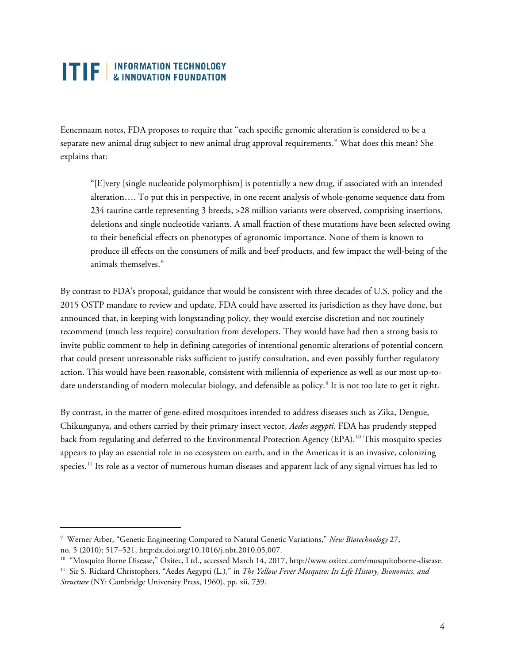Eenennaam notes, FDA proposes to require that "each specific genomic alteration is considered to be a separate new animal drug subject to new animal drug approval requirements." What does this mean? She explains that:

"[E]very [single nucleotide polymorphism] is potentially a new drug, if associated with an intended alteration…. To put this in perspective, in one recent analysis of whole-genome sequence data from 234 taurine cattle representing 3 breeds, >28 million variants were observed, comprising insertions, deletions and single nucleotide variants. A small fraction of these mutations have been selected owing to their beneficial effects on phenotypes of agronomic importance. None of them is known to produce ill effects on the consumers of milk and beef products, and few impact the well-being of the animals themselves."

By contrast to FDA's proposal, guidance that would be consistent with three decades of U.S. policy and the 2015 OSTP mandate to review and update, FDA could have asserted its jurisdiction as they have done, but announced that, in keeping with longstanding policy, they would exercise discretion and not routinely recommend (much less require) consultation from developers. They would have had then a strong basis to invite public comment to help in defining categories of intentional genomic alterations of potential concern that could present unreasonable risks sufficient to justify consultation, and even possibly further regulatory action. This would have been reasonable, consistent with millennia of experience as well as our most up-to-date understanding of modern molecular biology, and defensible as policy.<sup>[9](#page-3-0)</sup> It is not too late to get it right.

By contrast, in the matter of gene-edited mosquitoes intended to address diseases such as Zika, Dengue, Chikungunya, and others carried by their primary insect vector, *Aedes aegypti,* FDA has prudently stepped back from regulating and deferred to the Environmental Protection Agency (EPA). [10](#page-3-1) This mosquito species appears to play an essential role in no ecosystem on earth, and in the Americas it is an invasive, colonizing species.<sup>[11](#page-3-2)</sup> Its role as a vector of numerous human diseases and apparent lack of any signal virtues has led to

 $\ddot{\phantom{a}}$ 

<span id="page-3-0"></span><sup>9</sup> Werner Arber, "Genetic Engineering Compared to Natural Genetic Variations," *New Biotechnology* 27, no. 5 (2010): 517–521, http:dx.doi.org/10.1016/j.nbt.2010.05.007.

<span id="page-3-1"></span><sup>&</sup>lt;sup>10</sup> "Mosquito Borne Disease," Oxitec, Ltd., accessed March 14, 2017, http://www.oxitec.com/mosquitoborne-disease.

<span id="page-3-2"></span><sup>11</sup> Sir S. Rickard Christophers, "Aedes Aegypti (L.)," in *The Yellow Fever Mosquito: Its Life History, Bionomics, and Structure* (NY: Cambridge University Press, 1960), pp. xii, 739.